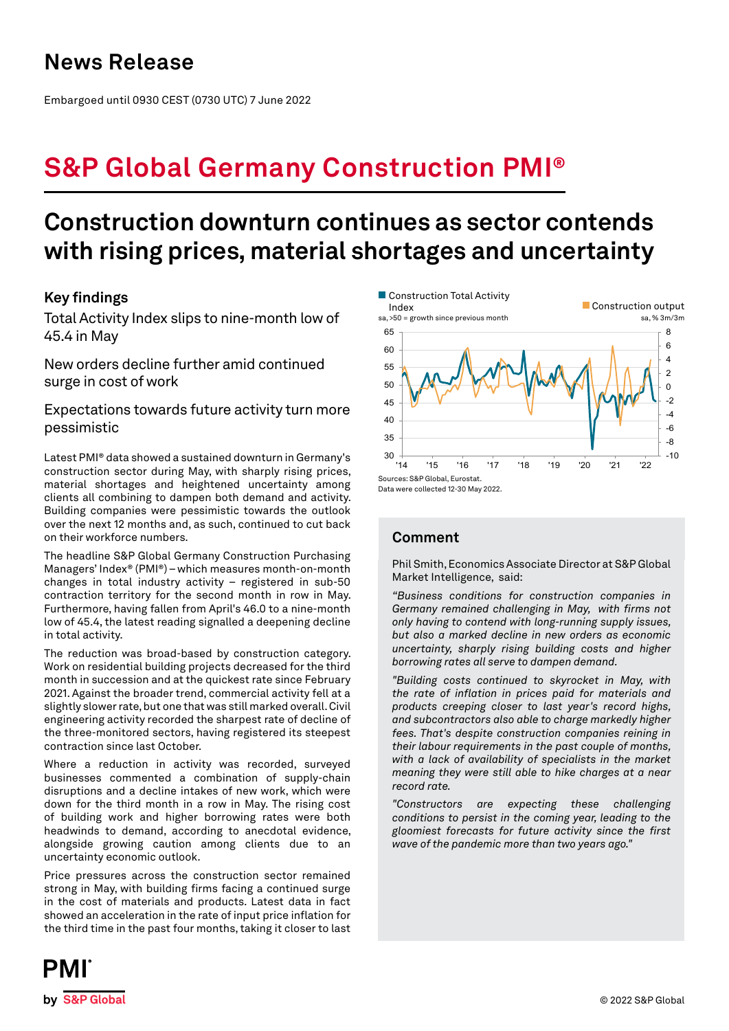# **News Release**

Embargoed until 0930 CEST (0730 UTC) 7 June 2022

# **S&P Global Germany Construction PMI®**

# **Construction downturn continues as sector contends with rising prices, material shortages and uncertainty**

## **Key findings**

Total Activity Index slips to nine-month low of 45.4 in May

New orders decline further amid continued surge in cost of work

## Expectations towards future activity turn more pessimistic

Latest PMI® data showed a sustained downturn in Germany's construction sector during May, with sharply rising prices, material shortages and heightened uncertainty among clients all combining to dampen both demand and activity. Building companies were pessimistic towards the outlook over the next 12 months and, as such, continued to cut back on their workforce numbers.

The headline S&P Global Germany Construction Purchasing Managers' Index® (PMI®) – which measures month-on-month changes in total industry activity – registered in sub-50 contraction territory for the second month in row in May. Furthermore, having fallen from April's 46.0 to a nine-month low of 45.4, the latest reading signalled a deepening decline in total activity.

The reduction was broad-based by construction category. Work on residential building projects decreased for the third month in succession and at the quickest rate since February 2021. Against the broader trend, commercial activity fell at a slightly slower rate, but one that was still marked overall. Civil engineering activity recorded the sharpest rate of decline of the three-monitored sectors, having registered its steepest contraction since last October.

Where a reduction in activity was recorded, surveyed businesses commented a combination of supply-chain disruptions and a decline intakes of new work, which were down for the third month in a row in May. The rising cost of building work and higher borrowing rates were both headwinds to demand, according to anecdotal evidence, alongside growing caution among clients due to an uncertainty economic outlook.

Price pressures across the construction sector remained strong in May, with building firms facing a continued surge in the cost of materials and products. Latest data in fact showed an acceleration in the rate of input price inflation for the third time in the past four months, taking it closer to last



Data were collected 12-30 May 2022.

## **Comment**

Phil Smith, Economics Associate Director at S&P Global Market Intelligence, said:

*"Business conditions for construction companies in Germany remained challenging in May, with firms not only having to contend with long-running supply issues, but also a marked decline in new orders as economic uncertainty, sharply rising building costs and higher borrowing rates all serve to dampen demand.* 

*"Building costs continued to skyrocket in May, with the rate of inflation in prices paid for materials and products creeping closer to last year's record highs, and subcontractors also able to charge markedly higher fees. That's despite construction companies reining in their labour requirements in the past couple of months, with a lack of availability of specialists in the market meaning they were still able to hike charges at a near record rate.*

*"Constructors are expecting these challenging conditions to persist in the coming year, leading to the gloomiest forecasts for future activity since the first wave of the pandemic more than two years ago."*